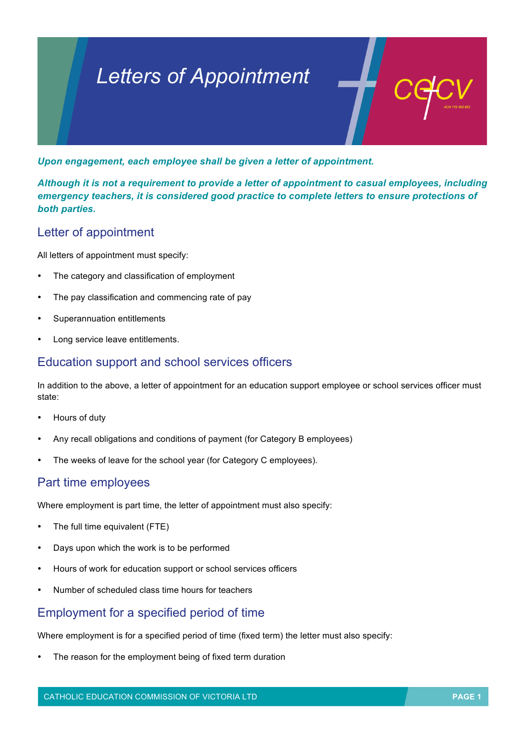# *Letters of Appointment*

*Upon engagement, each employee shall be given a letter of appointment.* 

*Although it is not a requirement to provide a letter of appointment to casual employees, including emergency teachers, it is considered good practice to complete letters to ensure protections of both parties.*

## Letter of appointment

All letters of appointment must specify:

- The category and classification of employment
- The pay classification and commencing rate of pay
- Superannuation entitlements
- Long service leave entitlements.

#### Education support and school services officers

In addition to the above, a letter of appointment for an education support employee or school services officer must state:

- Hours of duty
- Any recall obligations and conditions of payment (for Category B employees)
- The weeks of leave for the school year (for Category C employees).

#### Part time employees

Where employment is part time, the letter of appointment must also specify:

- The full time equivalent (FTE)
- Days upon which the work is to be performed
- Hours of work for education support or school services officers
- Number of scheduled class time hours for teachers

## Employment for a specified period of time

Where employment is for a specified period of time (fixed term) the letter must also specify:

The reason for the employment being of fixed term duration